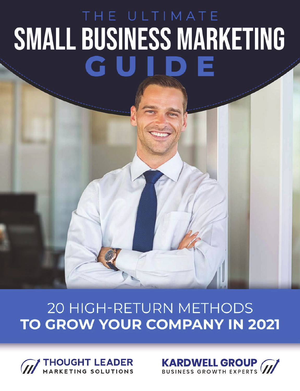# THE ULTIMATE SMALL BUSINESS MARKETING

# 20 HIGH-RETURN METHODS **TO GROW YOUR COMPANY IN 2021**



**KARDWELL GROUP**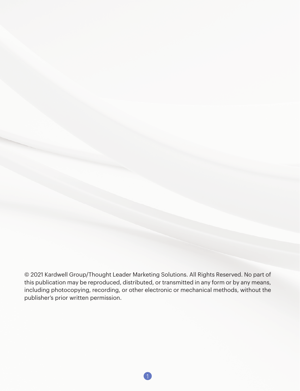© 2021 Kardwell Group/Thought Leader Marketing Solutions. All Rights Reserved. No part of this publication may be reproduced, distributed, or transmitted in any form or by any means, including photocopying, recording, or other electronic or mechanical methods, without the publisher's prior written permission.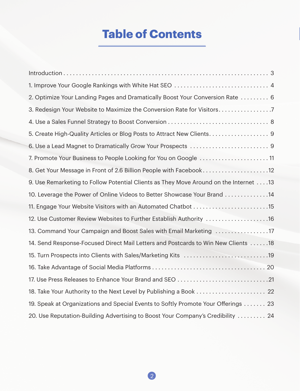## **Table of Contents**

| 2. Optimize Your Landing Pages and Dramatically Boost Your Conversion Rate  6         |
|---------------------------------------------------------------------------------------|
| 3. Redesign Your Website to Maximize the Conversion Rate for Visitors7                |
|                                                                                       |
| 5. Create High-Quality Articles or Blog Posts to Attract New Clients 9                |
|                                                                                       |
| 7. Promote Your Business to People Looking for You on Google 11                       |
| 8. Get Your Message in Front of 2.6 Billion People with Facebook12                    |
| 9. Use Remarketing to Follow Potential Clients as They Move Around on the Internet 13 |
| 10. Leverage the Power of Online Videos to Better Showcase Your Brand 14              |
|                                                                                       |
| 12. Use Customer Review Websites to Further Establish Authority 16                    |
| 13. Command Your Campaign and Boost Sales with Email Marketing 17                     |
| 14. Send Response-Focused Direct Mail Letters and Postcards to Win New Clients 18     |
| 15. Turn Prospects into Clients with Sales/Marketing Kits 19                          |
|                                                                                       |
|                                                                                       |
| 18. Take Your Authority to the Next Level by Publishing a Book  22                    |
| 19. Speak at Organizations and Special Events to Softly Promote Your Offerings 23     |
| 20. Use Reputation-Building Advertising to Boost Your Company's Credibility  24       |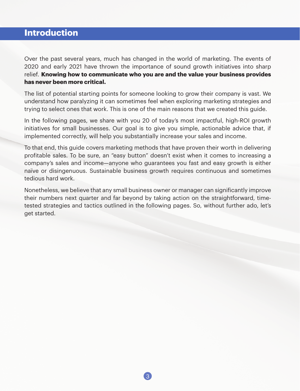## **Introduction**

Over the past several years, much has changed in the world of marketing. The events of 2020 and early 2021 have thrown the importance of sound growth initiatives into sharp relief. **Knowing how to communicate who you are and the value your business provides has never been more critical.**

The list of potential starting points for someone looking to grow their company is vast. We understand how paralyzing it can sometimes feel when exploring marketing strategies and trying to select ones that work. This is one of the main reasons that we created this guide.

In the following pages, we share with you 20 of today's most impactful, high-ROI growth initiatives for small businesses. Our goal is to give you simple, actionable advice that, if implemented correctly, will help you substantially increase your sales and income.

To that end, this guide covers marketing methods that have proven their worth in delivering profitable sales. To be sure, an "easy button" doesn't exist when it comes to increasing a company's sales and income—anyone who guarantees you fast and easy growth is either naïve or disingenuous. Sustainable business growth requires continuous and sometimes tedious hard work.

Nonetheless, we believe that any small business owner or manager can significantly improve their numbers next quarter and far beyond by taking action on the straightforward, timetested strategies and tactics outlined in the following pages. So, without further ado, let's get started.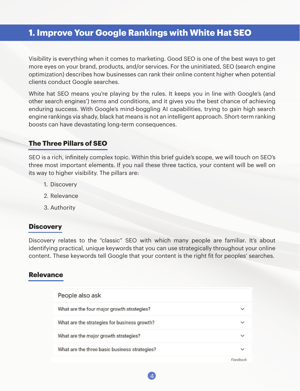## **1. Improve Your Google Rankings with White Hat SEO**

Visibility is everything when it comes to marketing. Good SEO is one of the best ways to get more eyes on your brand, products, and/or services. For the uninitiated, SEO (search engine optimization) describes how businesses can rank their online content higher when potential clients conduct Google searches.

White hat SEO means you're playing by the rules. It keeps you in line with Google's (and other search engines') terms and conditions, and it gives you the best chance of achieving enduring success. With Google's mind-boggling AI capabilities, trying to gain high search engine rankings via shady, black hat means is not an intelligent approach. Short-term ranking boosts can have devastating long-term consequences.

#### **The Three Pillars of SEO**

SEO is a rich, infinitely complex topic. Within this brief guide's scope, we will touch on SEO's three most important elements. If you nail these three tactics, your content will be well on its way to higher visibility. The pillars are:

- 1. Discovery
- 2. Relevance
- 3. Authority

#### **Discovery**

Discovery relates to the "classic" SEO with which many people are familiar. It's about identifying practical, unique keywords that you can use strategically throughout your online content. These keywords tell Google that your content is the right fit for peoples' searches.

#### **Relevance**

|                                               | Foodhack |
|-----------------------------------------------|----------|
| What are the three basic business strategies? |          |
| What are the major growth strategies?         |          |
| What are the strategies for business growth?  |          |
| What are the four major growth strategies?    |          |
| People also ask                               |          |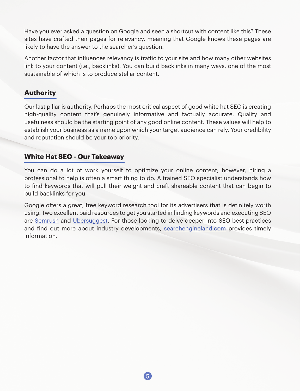Have you ever asked a question on Google and seen a shortcut with content like this? These sites have crafted their pages for relevancy, meaning that Google knows these pages are likely to have the answer to the searcher's question.

Another factor that influences relevancy is traffic to your site and how many other websites link to your content (i.e., backlinks). You can build backlinks in many ways, one of the most sustainable of which is to produce stellar content.

#### **Authority**

Our last pillar is authority. Perhaps the most critical aspect of good white hat SEO is creating high-quality content that's genuinely informative and factually accurate. Quality and usefulness should be the starting point of any good online content. These values will help to establish your business as a name upon which your target audience can rely. Your credibility and reputation should be your top priority.

#### **White Hat SEO - Our Takeaway**

You can do a lot of work yourself to optimize your online content; however, hiring a professional to help is often a smart thing to do. A trained SEO specialist understands how to find keywords that will pull their weight and craft shareable content that can begin to build backlinks for you.

Google offers a great, free keyword research tool for its advertisers that is definitely worth using. Two excellent paid resources to get you started in finding keywords and executing SEO are Semrush and Ubersuggest. For those looking to delve deeper into SEO best practices and find out more about industry developments, searchengineland.com provides timely information.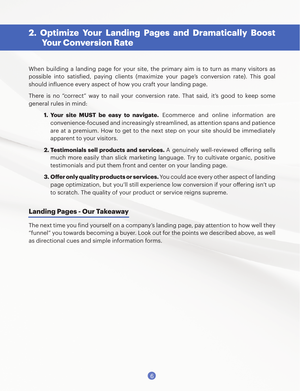## **2. Optimize Your Landing Pages and Dramatically Boost Your Conversion Rate**

When building a landing page for your site, the primary aim is to turn as many visitors as possible into satisfied, paying clients (maximize your page's conversion rate). This goal should influence every aspect of how you craft your landing page.

There is no "correct" way to nail your conversion rate. That said, it's good to keep some general rules in mind:

- **1. Your site MUST be easy to navigate.** Ecommerce and online information are convenience-focused and increasingly streamlined, as attention spans and patience are at a premium. How to get to the next step on your site should be immediately apparent to your visitors.
- **2. Testimonials sell products and services.** A genuinely well-reviewed offering sells much more easily than slick marketing language. Try to cultivate organic, positive testimonials and put them front and center on your landing page.
- **3. Offer only quality products or services.** You could ace every other aspect of landing page optimization, but you'll still experience low conversion if your offering isn't up to scratch. The quality of your product or service reigns supreme.

#### **Landing Pages - Our Takeaway**

The next time you find yourself on a company's landing page, pay attention to how well they "funnel" you towards becoming a buyer. Look out for the points we described above, as well as directional cues and simple information forms.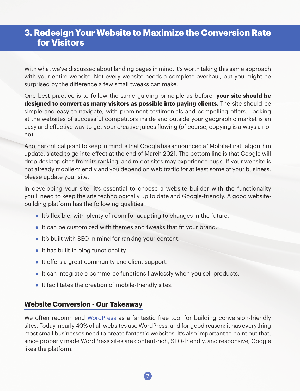## **3. Redesign Your Website to Maximize the Conversion Rate for Visitors**

With what we've discussed about landing pages in mind, it's worth taking this same approach with your entire website. Not every website needs a complete overhaul, but you might be surprised by the difference a few small tweaks can make.

One best practice is to follow the same guiding principle as before: **your site should be designed to convert as many visitors as possible into paying clients.** The site should be simple and easy to navigate, with prominent testimonials and compelling offers. Looking at the websites of successful competitors inside and outside your geographic market is an easy and effective way to get your creative juices flowing (of course, copying is always a nono).

Another critical point to keep in mind is that Google has announced a "Mobile-First" algorithm update, slated to go into effect at the end of March 2021. The bottom line is that Google will drop desktop sites from its ranking, and m-dot sites may experience bugs. If your website is not already mobile-friendly and you depend on web traffic for at least some of your business, please update your site.

In developing your site, it's essential to choose a website builder with the functionality you'll need to keep the site technologically up to date and Google-friendly. A good websitebuilding platform has the following qualities:

- **●** It's flexible, with plenty of room for adapting to changes in the future.
- **●** It can be customized with themes and tweaks that fit your brand.
- **●** It's built with SEO in mind for ranking your content.
- **●** It has built-in blog functionality.
- It offers a great community and client support.
- **●** It can integrate e-commerce functions flawlessly when you sell products.
- **●** It facilitates the creation of mobile-friendly sites.

#### **Website Conversion - Our Takeaway**

We often recommend WordPress as a fantastic free tool for building conversion-friendly sites. Today, nearly 40% of all websites use WordPress, and for good reason: it has everything most small businesses need to create fantastic websites. It's also important to point out that, since properly made WordPress sites are content-rich, SEO-friendly, and responsive, Google likes the platform.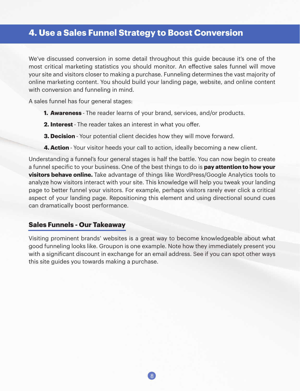## **4. Use a Sales Funnel Strategy to Boost Conversion**

We've discussed conversion in some detail throughout this guide because it's one of the most critical marketing statistics you should monitor. An effective sales funnel will move your site and visitors closer to making a purchase. Funneling determines the vast majority of online marketing content. You should build your landing page, website, and online content with conversion and funneling in mind.

A sales funnel has four general stages:

- **1. Awareness**  The reader learns of your brand, services, and/or products.
- **2. Interest** The reader takes an interest in what you offer.
- **3. Decision**  Your potential client decides how they will move forward.
- **4. Action**  Your visitor heeds your call to action, ideally becoming a new client.

Understanding a funnel's four general stages is half the battle. You can now begin to create a funnel specific to your business. One of the best things to do is **pay attention to how your visitors behave online.** Take advantage of things like WordPress/Google Analytics tools to analyze how visitors interact with your site. This knowledge will help you tweak your landing page to better funnel your visitors. For example, perhaps visitors rarely ever click a critical aspect of your landing page. Repositioning this element and using directional sound cues can dramatically boost performance.

#### **Sales Funnels - Our Takeaway**

Visiting prominent brands' websites is a great way to become knowledgeable about what good funneling looks like. Groupon is one example. Note how they immediately present you with a significant discount in exchange for an email address. See if you can spot other ways this site guides you towards making a purchase.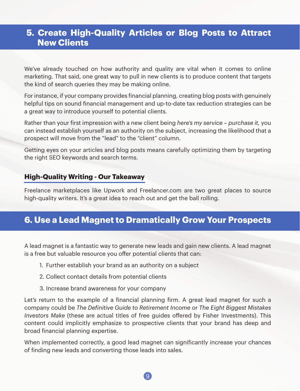## **5. Create High-Quality Articles or Blog Posts to Attract New Clients**

We've already touched on how authority and quality are vital when it comes to online marketing. That said, one great way to pull in new clients is to produce content that targets the kind of search queries they may be making online.

For instance, if your company provides financial planning, creating blog posts with genuinely helpful tips on sound financial management and up-to-date tax reduction strategies can be a great way to introduce yourself to potential clients.

Rather than your first impression with a new client being *here's my service – purchase it,* you can instead establish yourself as an authority on the subject, increasing the likelihood that a prospect will move from the "lead" to the "client" column.

Getting eyes on your articles and blog posts means carefully optimizing them by targeting the right SEO keywords and search terms.

#### **High-Quality Writing - Our Takeaway**

Freelance marketplaces like Upwork and Freelancer.com are two great places to source high-quality writers. It's a great idea to reach out and get the ball rolling.

### **6. Use a Lead Magnet to Dramatically Grow Your Prospects**

A lead magnet is a fantastic way to generate new leads and gain new clients. A lead magnet is a free but valuable resource you offer potential clients that can:

- 1. Further establish your brand as an authority on a subject
- 2. Collect contact details from potential clients
- 3. Increase brand awareness for your company

Let's return to the example of a financial planning firm. A great lead magnet for such a company could be *The Definitive Guide to Retirement Income* or *The Eight Biggest Mistakes Investors Make* (these are actual titles of free guides offered by Fisher Investments). This content could implicitly emphasize to prospective clients that your brand has deep and broad financial planning expertise.

When implemented correctly, a good lead magnet can significantly increase your chances of finding new leads and converting those leads into sales.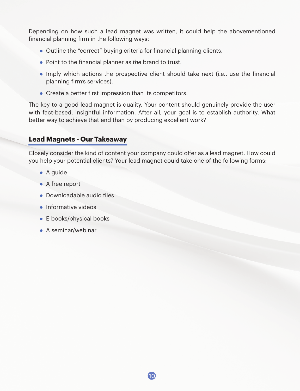Depending on how such a lead magnet was written, it could help the abovementioned financial planning firm in the following ways:

- **●** Outline the "correct" buying criteria for financial planning clients.
- **●** Point to the financial planner as *the* brand to trust.
- **●** Imply which actions the prospective client should take next (i.e., use the financial planning firm's services).
- **●** Create a better first impression than its competitors.

The key to a good lead magnet is quality. Your content should genuinely provide the user with fact-based, insightful information. After all, your goal is to establish authority. What better way to achieve that end than by producing excellent work?

#### **Lead Magnets - Our Takeaway**

Closely consider the kind of content your company could offer as a lead magnet. How could you help your potential clients? Your lead magnet could take one of the following forms:

- **●** A guide
- **●** A free report
- **●** Downloadable audio files
- **●** Informative videos
- **●** E-books/physical books
- **●** A seminar/webinar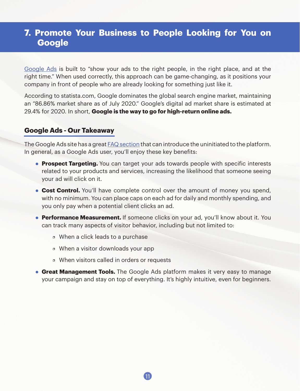## **7. Promote Your Business to People Looking for You on Google**

Google Ads is built to "show your ads to the right people, in the right place, and at the right time." When used correctly, this approach can be game-changing, as it positions your company in front of people who are already looking for something just like it.

According to statista.com, Google dominates the global search engine market, maintaining an "86.86% market share as of July 2020." Google's digital ad market share is estimated at 29.4% for 2020. In short, **Google is the way to go for high-return online ads.**

#### **Google Ads - Our Takeaway**

The Google Ads site has a great FAQ section that can introduce the uninitiated to the platform. In general, as a Google Ads user, you'll enjoy these key benefits:

- **Prospect Targeting.** You can target your ads towards people with specific interests related to your products and services, increasing the likelihood that someone seeing your ad will click on it.
- **Cost Control.** You'll have complete control over the amount of money you spend, with no minimum. You can place caps on each ad for daily and monthly spending, and you only pay when a potential client clicks an ad.
- **Performance Measurement.** If someone clicks on your ad, you'll know about it. You can track many aspects of visitor behavior, including but not limited to:
	- When a click leads to a purchase
	- When a visitor downloads your app
	- When visitors called in orders or requests
- **● Great Management Tools.** The Google Ads platform makes it very easy to manage your campaign and stay on top of everything. It's highly intuitive, even for beginners.

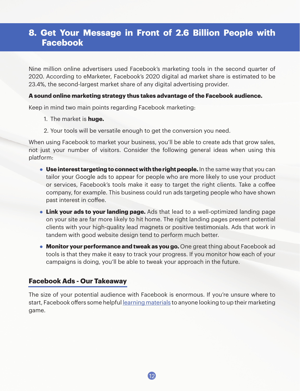## **8. Get Your Message in Front of 2.6 Billion People with Facebook**

Nine million online advertisers used Facebook's marketing tools in the second quarter of 2020. According to eMarketer, Facebook's 2020 digital ad market share is estimated to be 23.4%, the second-largest market share of any digital advertising provider.

#### **A sound online marketing strategy thus takes advantage of the Facebook audience.**

Keep in mind two main points regarding Facebook marketing:

- 1. The market is **huge.**
- 2. Your tools will be versatile enough to get the conversion you need.

When using Facebook to market your business, you'll be able to create ads that grow sales, not just your number of visitors. Consider the following general ideas when using this platform:

- **● Use interest targeting to connect with the right people.** In the same way that you can tailor your Google ads to appear for people who are more likely to use your product or services, Facebook's tools make it easy to target the right clients. Take a coffee company, for example. This business could run ads targeting people who have shown past interest in coffee.
- **● Link your ads to your landing page.** Ads that lead to a well-optimized landing page on your site are far more likely to hit home. The right landing pages present potential clients with your high-quality lead magnets or positive testimonials. Ads that work in tandem with good website design tend to perform much better.
- **Monitor your performance and tweak as you go.** One great thing about Facebook ad tools is that they make it easy to track your progress. If you monitor how each of your campaigns is doing, you'll be able to tweak your approach in the future.

#### **Facebook Ads - Our Takeaway**

The size of your potential audience with Facebook is enormous. If you're unsure where to start, Facebook offers some helpful learning materials to anyone looking to up their marketing game.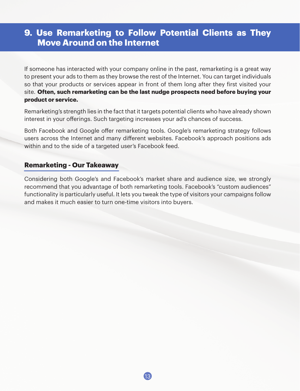## **9. Use Remarketing to Follow Potential Clients as They Move Around on the Internet**

If someone has interacted with your company online in the past, remarketing is a great way to present your ads to them as they browse the rest of the Internet. You can target individuals so that your products or services appear in front of them long after they first visited your site. **Often, such remarketing can be the last nudge prospects need before buying your product or service.**

Remarketing's strength lies in the fact that it targets potential clients who have already shown interest in your offerings. Such targeting increases your ad's chances of success.

Both Facebook and Google offer remarketing tools. Google's remarketing strategy follows users across the Internet and many different websites. Facebook's approach positions ads within and to the side of a targeted user's Facebook feed.

#### **Remarketing - Our Takeaway**

Considering both Google's and Facebook's market share and audience size, we strongly recommend that you advantage of both remarketing tools. Facebook's "custom audiences" functionality is particularly useful. It lets you tweak the type of visitors your campaigns follow and makes it much easier to turn one-time visitors into buyers.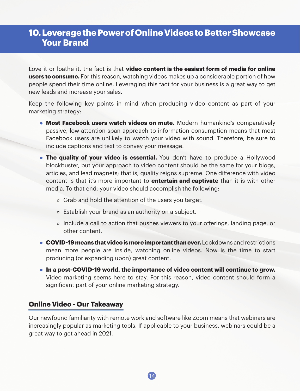## **10. Leverage the Power of Online Videos to Better Showcase Your Brand**

Love it or loathe it, the fact is that **video content is the easiest form of media for online users to consume.** For this reason, watching videos makes up a considerable portion of how people spend their time online. Leveraging this fact for your business is a great way to get new leads and increase your sales.

Keep the following key points in mind when producing video content as part of your marketing strategy:

- **● Most Facebook users watch videos on mute.** Modern humankind's comparatively passive, low-attention-span approach to information consumption means that most Facebook users are unlikely to watch your video with sound. Therefore, be sure to include captions and text to convey your message.
- **The quality of your video is essential.** You don't have to produce a Hollywood blockbuster, but your approach to video content should be the same for your blogs, articles, and lead magnets; that is, quality reigns supreme. One difference with video content is that it's more important to **entertain and captivate** than it is with other media. To that end, your video should accomplish the following:
	- Grab and hold the attention of the users you target.
	- Establish your brand as an authority on a subject.
	- □ Include a call to action that pushes viewers to your offerings, landing page, or other content.
- **● COVID-19 means that video is more important than ever.** Lockdowns and restrictions mean more people are inside, watching online videos. Now is the time to start producing (or expanding upon) great content.
- **● In a post-COVID-19 world, the importance of video content will continue to grow.**  Video marketing seems here to stay. For this reason, video content should form a significant part of your online marketing strategy.

#### **Online Video - Our Takeaway**

Our newfound familiarity with remote work and software like Zoom means that webinars are increasingly popular as marketing tools. If applicable to your business, webinars could be a great way to get ahead in 2021.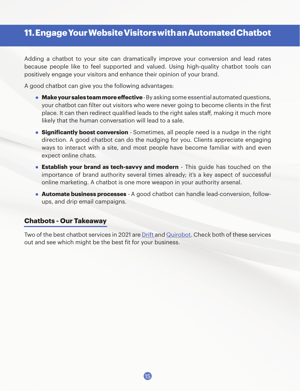## **11. Engage Your Website Visitors with an Automated Chatbot**

Adding a chatbot to your site can dramatically improve your conversion and lead rates because people like to feel supported and valued. Using high-quality chatbot tools can positively engage your visitors and enhance their opinion of your brand.

A good chatbot can give you the following advantages:

- **Make your sales team more effective** By asking some essential automated questions, your chatbot can filter out visitors who were never going to become clients in the first place. It can then redirect qualified leads to the right sales staff, making it much more likely that the human conversation will lead to a sale.
- **● Significantly boost conversion** Sometimes, all people need is a nudge in the right direction. A good chatbot can do the nudging for you. Clients appreciate engaging ways to interact with a site, and most people have become familiar with and even expect online chats.
- **● Establish your brand as tech-savvy and modern** This guide has touched on the importance of brand authority several times already; it's a key aspect of successful online marketing. A chatbot is one more weapon in your authority arsenal.
- **● Automate business processes** A good chatbot can handle lead-conversion, followups, and drip email campaigns.

#### **Chatbots - Our Takeaway**

Two of the best chatbot services in 2021 are Drift and Quirobot. Check both of these services out and see which might be the best fit for your business.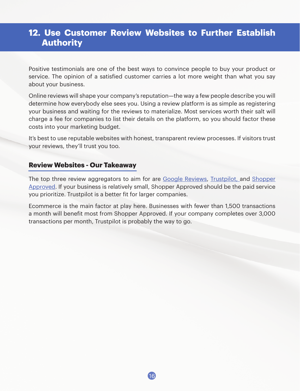## **12. Use Customer Review Websites to Further Establish Authority**

Positive testimonials are one of the best ways to convince people to buy your product or service. The opinion of a satisfied customer carries a lot more weight than what you say about your business.

Online reviews will shape your company's reputation—the way a few people describe you will determine how everybody else sees you. Using a review platform is as simple as registering your business and waiting for the reviews to materialize. Most services worth their salt will charge a fee for companies to list their details on the platform, so you should factor these costs into your marketing budget.

It's best to use reputable websites with honest, transparent review processes. If visitors trust your reviews, they'll trust you too.

#### **Review Websites - Our Takeaway**

The top three review aggregators to aim for are Google Reviews, Trustpilot, and Shopper Approved. If your business is relatively small, Shopper Approved should be the paid service you prioritize. Trustpilot is a better fit for larger companies.

Ecommerce is the main factor at play here. Businesses with fewer than 1,500 transactions a month will benefit most from Shopper Approved. If your company completes over 3,000 transactions per month, Trustpilot is probably the way to go.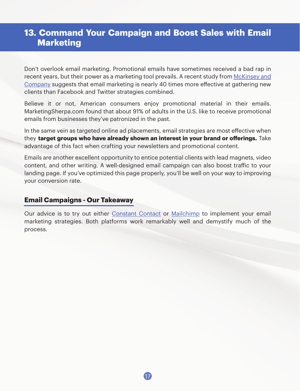## **13. Command Your Campaign and Boost Sales with Email Marketing**

Don't overlook email marketing. Promotional emails have sometimes received a bad rap in recent years, but their power as a marketing tool prevails. A recent study from McKinsey and Company suggests that email marketing is nearly 40 times more effective at gathering new clients than Facebook and Twitter strategies combined.

Believe it or not, American consumers enjoy promotional material in their emails. MarketingSherpa.com found that about 91% of adults in the U.S. like to receive promotional emails from businesses they've patronized in the past.

In the same vein as targeted online ad placements, email strategies are most effective when they **target groups who have already shown an interest in your brand or offerings.** Take advantage of this fact when crafting your newsletters and promotional content.

Emails are another excellent opportunity to entice potential clients with lead magnets, video content, and other writing. A well-designed email campaign can also boost traffic to your landing page. If you've optimized this page properly, you'll be well on your way to improving your conversion rate.

#### **Email Campaigns - Our Takeaway**

Our advice is to try out either Constant Contact or Mailchimp to implement your email marketing strategies. Both platforms work remarkably well and demystify much of the process.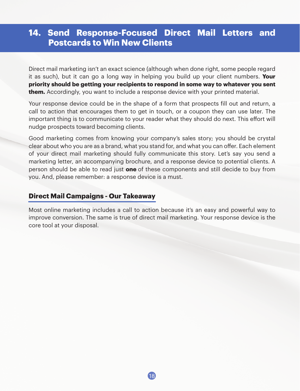## **14. Send Response-Focused Direct Mail Letters and Postcards to Win New Clients**

Direct mail marketing isn't an exact science (although when done right, some people regard it as such), but it can go a long way in helping you build up your client numbers. **Your priority should be getting your recipients to respond in some way to whatever you sent them.** Accordingly, you want to include a response device with your printed material.

Your response device could be in the shape of a form that prospects fill out and return, a call to action that encourages them to get in touch, or a coupon they can use later. The important thing is to communicate to your reader what they should do next. This effort will nudge prospects toward becoming clients.

Good marketing comes from knowing your company's sales story; you should be crystal clear about who you are as a brand, what you stand for, and what you can offer. Each element of your direct mail marketing should fully communicate this story. Let's say you send a marketing letter, an accompanying brochure, and a response device to potential clients. A person should be able to read just **one** of these components and still decide to buy from you. And, please remember: a response device is a must.

#### **Direct Mail Campaigns - Our Takeaway**

Most online marketing includes a call to action because it's an easy and powerful way to improve conversion. The same is true of direct mail marketing. Your response device is the core tool at your disposal.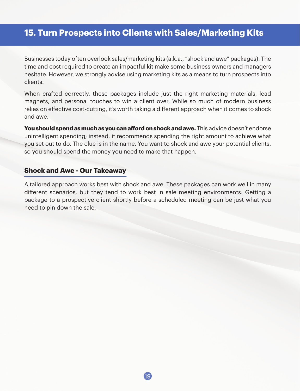## **15. Turn Prospects into Clients with Sales/Marketing Kits**

Businesses today often overlook sales/marketing kits (a.k.a., "shock and awe" packages). The time and cost required to create an impactful kit make some business owners and managers hesitate. However, we strongly advise using marketing kits as a means to turn prospects into clients.

When crafted correctly, these packages include just the right marketing materials, lead magnets, and personal touches to win a client over. While so much of modern business relies on effective cost-cutting, it's worth taking a different approach when it comes to shock and awe.

**You should spend as much as you can afford on shock and awe.** This advice doesn't endorse unintelligent spending; instead, it recommends spending the right amount to achieve what you set out to do. The clue is in the name. You want to shock and awe your potential clients, so you should spend the money you need to make that happen.

#### **Shock and Awe - Our Takeaway**

A tailored approach works best with shock and awe. These packages can work well in many different scenarios, but they tend to work best in sale meeting environments. Getting a package to a prospective client shortly before a scheduled meeting can be just what you need to pin down the sale.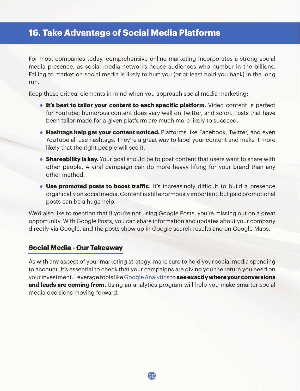## **16. Take Advantage of Social Media Platforms**

For most companies today, comprehensive online marketing incorporates a strong social media presence, as social media networks house audiences who number in the billions. Failing to market on social media is likely to hurt you (or at least hold you back) in the long run.

Keep these critical elements in mind when you approach social media marketing:

- **● It's best to tailor your content to each specific platform.** Video content is perfect for YouTube; humorous content does very well on Twitter, and so on. Posts that have been tailor-made for a given platform are much more likely to succeed.
- **● Hashtags help get your content noticed.** Platforms like Facebook, Twitter, and even YouTube all use hashtags. They're a great way to label your content and make it more likely that the right people will see it.
- **Shareability is key.** Your goal should be to post content that users want to share with other people. A viral campaign can do more heavy lifting for your brand than any other method.
- **Use promoted posts to boost traffic**. It's increasingly difficult to build a presence organically on social media. Content is still enormously important, but paid promotional posts can be a huge help.

We'd also like to mention that if you're not using Google Posts, you're missing out on a great opportunity. With Google Posts, you can share information and updates about your company directly via Google, and the posts show up in Google search results and on Google Maps.

#### **Social Media - Our Takeaway**

As with any aspect of your marketing strategy, make sure to hold your social media spending to account. It's essential to check that your campaigns are giving you the return you need on your investment. Leverage tools like Google Analytics to **see exactly where your conversions and leads are coming from.** Using an analytics program will help you make smarter social media decisions moving forward.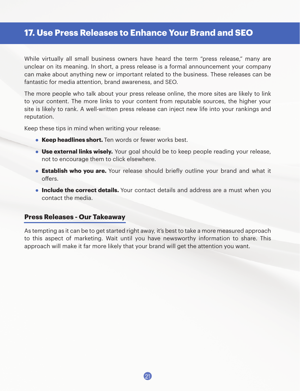## **17. Use Press Releases to Enhance Your Brand and SEO**

While virtually all small business owners have heard the term "press release," many are unclear on its meaning. In short, a press release is a formal announcement your company can make about anything new or important related to the business. These releases can be fantastic for media attention, brand awareness, and SEO.

The more people who talk about your press release online, the more sites are likely to link to your content. The more links to your content from reputable sources, the higher your site is likely to rank. A well-written press release can inject new life into your rankings and reputation.

Keep these tips in mind when writing your release:

- **● Keep headlines short.** Ten words or fewer works best.
- **Use external links wisely.** Your goal should be to keep people reading your release, not to encourage them to click elsewhere.
- **● Establish who you are.** Your release should briefly outline your brand and what it offers.
- **● Include the correct details.** Your contact details and address are a must when you contact the media.

#### **Press Releases - Our Takeaway**

As tempting as it can be to get started right away, it's best to take a more measured approach to this aspect of marketing. Wait until you have newsworthy information to share. This approach will make it far more likely that your brand will get the attention you want.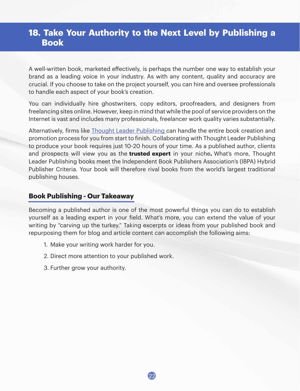## **18. Take Your Authority to the Next Level by Publishing a Book**

A well-written book, marketed effectively, is perhaps the number one way to establish your brand as a leading voice in your industry. As with any content, quality and accuracy are crucial. If you choose to take on the project yourself, you can hire and oversee professionals to handle each aspect of your book's creation.

You can individually hire ghostwriters, copy editors, proofreaders, and designers from freelancing sites online. However, keep in mind that while the pool of service providers on the Internet is vast and includes many professionals, freelancer work quality varies substantially.

Alternatively, firms like Thought Leader Publishing can handle the entire book creation and promotion process for you from start to finish. Collaborating with Thought Leader Publishing to produce your book requires just 10-20 hours of your time. As a published author, clients and prospects will view you as the **trusted expert** in your niche**.** What's more, Thought Leader Publishing books meet the Independent Book Publishers Association's (IBPA) Hybrid Publisher Criteria. Your book will therefore rival books from the world's largest traditional publishing houses.

#### **Book Publishing - Our Takeaway**

Becoming a published author is one of the most powerful things you can do to establish yourself as a leading expert in your field. What's more, you can extend the value of your writing by "carving up the turkey." Taking excerpts or ideas from your published book and repurposing them for blog and article content can accomplish the following aims:

- 1. Make your writing work harder for you.
- 2. Direct more attention to your published work.
- 3. Further grow your authority.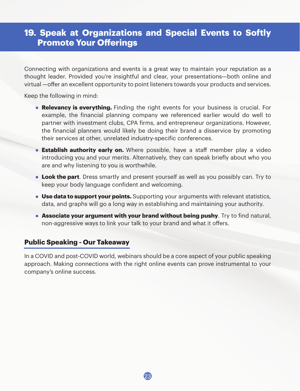## **19. Speak at Organizations and Special Events to Softly Promote Your Offerings**

Connecting with organizations and events is a great way to maintain your reputation as a thought leader. Provided you're insightful and clear, your presentations—both online and virtual —offer an excellent opportunity to point listeners towards your products and services.

Keep the following in mind:

- **● Relevancy is everything.** Finding the right events for your business is crucial. For example, the financial planning company we referenced earlier would do well to partner with investment clubs, CPA firms, and entrepreneur organizations. However, the financial planners would likely be doing their brand a disservice by promoting their services at other, unrelated industry-specific conferences.
- **Establish authority early on.** Where possible, have a staff member play a video introducing you and your merits. Alternatively, they can speak briefly about who you are and why listening to you is worthwhile.
- **● Look the part**. Dress smartly and present yourself as well as you possibly can. Try to keep your body language confident and welcoming.
- **● Use data to support your points.** Supporting your arguments with relevant statistics, data, and graphs will go a long way in establishing and maintaining your authority.
- **● Associate your argument with your brand without being pushy**. Try to find natural, non-aggressive ways to link your talk to your brand and what it offers.

#### **Public Speaking - Our Takeaway**

In a COVID and post-COVID world, webinars should be a core aspect of your public speaking approach. Making connections with the right online events can prove instrumental to your company's online success.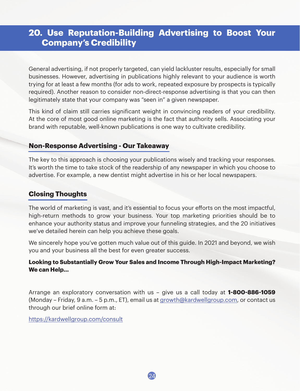## **20. Use Reputation-Building Advertising to Boost Your Company's Credibility**

General advertising, if not properly targeted, can yield lackluster results, especially for small businesses. However, advertising in publications highly relevant to your audience is worth trying for at least a few months (for ads to work, repeated exposure by prospects is typically required). Another reason to consider non-direct-response advertising is that you can then legitimately state that your company was "seen in" a given newspaper.

This kind of claim still carries significant weight in convincing readers of your credibility. At the core of most good online marketing is the fact that authority sells. Associating your brand with reputable, well-known publications is one way to cultivate credibility.

#### **Non-Response Advertising - Our Takeaway**

The key to this approach is choosing your publications wisely and tracking your responses. It's worth the time to take stock of the readership of any newspaper in which you choose to advertise. For example, a new dentist might advertise in his or her local newspapers.

#### **Closing Thoughts**

The world of marketing is vast, and it's essential to focus your efforts on the most impactful, high-return methods to grow your business. Your top marketing priorities should be to enhance your authority status and improve your funneling strategies, and the 20 initiatives we've detailed herein can help you achieve these goals.

We sincerely hope you've gotten much value out of this guide. In 2021 and beyond, we wish you and your business all the best for even greater success.

#### **Looking to Substantially Grow Your Sales and Income Through High-Impact Marketing? We can Help…**

Arrange an exploratory conversation with us – give us a call today at **1-800-886-1059** (Monday – Friday, 9 a.m. – 5 p.m., ET), email us at growth@kardwellgroup.com, or contact us through our brief online form at:

https://kardwellgroup.com/consult